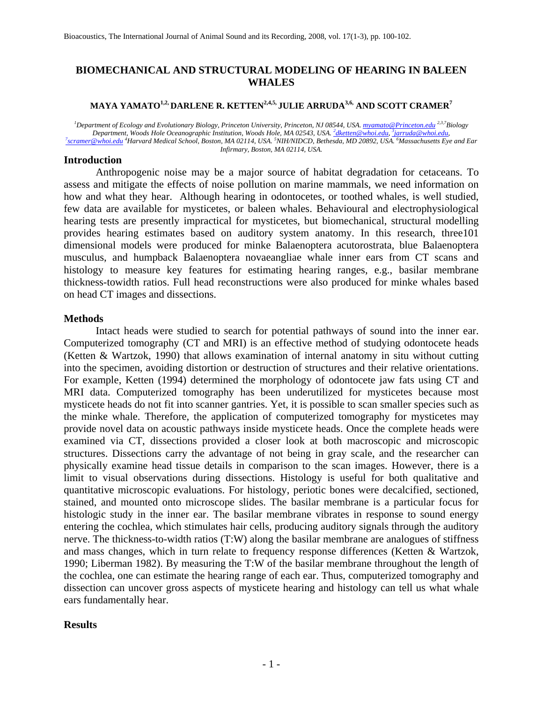### **BIOMECHANICAL AND STRUCTURAL MODELING OF HEARING IN BALEEN WHALES**

### **MAYA YAMATO1,2, DARLENE R. KETTEN2,4,5, JULIE ARRUDA3,6, AND SCOTT CRAMER7**

*1 Department of Ecology and Evolutionary Biology, Princeton University, Princeton, NJ 08544, USA. myamato@Princeton.edu 2,3,7Biology Department, Woods Hole Oceanographic Institution, Woods Hole, MA 02543, USA. <sup>2</sup> <u>dketten@whoi.edu, <sup>3</sup> jarruda@whoi.edu,</u><br><sup>7</sup>ceganog@whoi.edu.<sup>4</sup>Hamard Madiael School, Postan, MA 02114, USA. <sup>5</sup>NHAUDCD, Pethoda, MD 20002 scramer@whoi.edu <sup>4</sup> Harvard Medical School, Boston, MA 02114, USA. 5 NIH/NIDCD, Bethesda, MD 20892, USA. 6 Massachusetts Eye and Ear Infirmary, Boston, MA 02114, USA.* 

#### **Introduction**

Anthropogenic noise may be a major source of habitat degradation for cetaceans. To assess and mitigate the effects of noise pollution on marine mammals, we need information on how and what they hear. Although hearing in odontocetes, or toothed whales, is well studied, few data are available for mysticetes, or baleen whales. Behavioural and electrophysiological hearing tests are presently impractical for mysticetes, but biomechanical, structural modelling provides hearing estimates based on auditory system anatomy. In this research, three101 dimensional models were produced for minke Balaenoptera acutorostrata, blue Balaenoptera musculus, and humpback Balaenoptera novaeangliae whale inner ears from CT scans and histology to measure key features for estimating hearing ranges, e.g., basilar membrane thickness-towidth ratios. Full head reconstructions were also produced for minke whales based on head CT images and dissections.

#### **Methods**

Intact heads were studied to search for potential pathways of sound into the inner ear. Computerized tomography (CT and MRI) is an effective method of studying odontocete heads (Ketten & Wartzok, 1990) that allows examination of internal anatomy in situ without cutting into the specimen, avoiding distortion or destruction of structures and their relative orientations. For example, Ketten (1994) determined the morphology of odontocete jaw fats using CT and MRI data. Computerized tomography has been underutilized for mysticetes because most mysticete heads do not fit into scanner gantries. Yet, it is possible to scan smaller species such as the minke whale. Therefore, the application of computerized tomography for mysticetes may provide novel data on acoustic pathways inside mysticete heads. Once the complete heads were examined via CT, dissections provided a closer look at both macroscopic and microscopic structures. Dissections carry the advantage of not being in gray scale, and the researcher can physically examine head tissue details in comparison to the scan images. However, there is a limit to visual observations during dissections. Histology is useful for both qualitative and quantitative microscopic evaluations. For histology, periotic bones were decalcified, sectioned, stained, and mounted onto microscope slides. The basilar membrane is a particular focus for histologic study in the inner ear. The basilar membrane vibrates in response to sound energy entering the cochlea, which stimulates hair cells, producing auditory signals through the auditory nerve. The thickness-to-width ratios (T:W) along the basilar membrane are analogues of stiffness and mass changes, which in turn relate to frequency response differences (Ketten & Wartzok, 1990; Liberman 1982). By measuring the T:W of the basilar membrane throughout the length of the cochlea, one can estimate the hearing range of each ear. Thus, computerized tomography and dissection can uncover gross aspects of mysticete hearing and histology can tell us what whale ears fundamentally hear.

#### **Results**